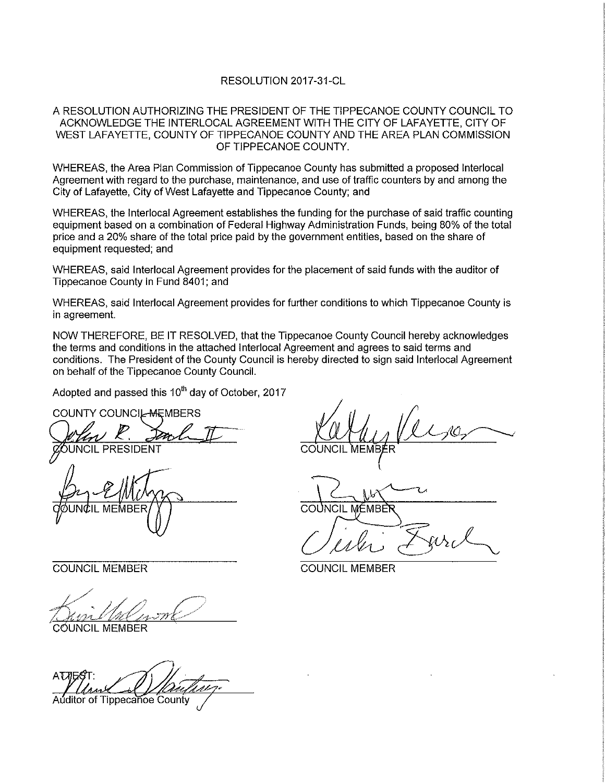## RESOLUTION 2017-31-CL

## A RESOLUTION AUTHORIZING THE PRESIDENT OF THE TIPPECANOE COUNTY COUNCIL TO ACKNOWLEDGE THE iNTERLOCAL AGREEMENT WITH THE CITY OF LAFAYETTE, CITY OF WEST LAFAYETTE, COUNTY OF TIPPECANOE COUNTY AND THE AREA PLAN COMMISSION OF TIPPECANOE COUNTY.

WHEREAS, the Area Plan Commission of Tippecanoe County has submitted <sup>a</sup> proposed lnterlocal Agreement with regard to the purchase, maintenance, and use of traffic counters by and among the City of Lafayette, City of West Lafayette and Tippecanoe County; and

WHEREAS, the lnterlocal Agreement establishes the funding for the purchase of said traffic counting equipment based on <sup>a</sup> combination of Federal Highway Administration Funds, being 80% of the total price and <sup>a</sup> 20% share of the total price paid by the government entities, based on the share of equipment requested; and

WHEREAS, said Interlocal Agreement provides for the placement of said funds with the auditor of Tippecanoe County in Fund 8401; and

WHEREAS, said Interlocal Agreement provides for further conditions to which Tippecanoe County is in agreement.

NOW THEREFORE, BE IT RESOLVED, that the Tippecanoe County Council hereby acknowledges the terms and conditions in the attached lnterlocal Agreement and agrees to said terms and conditions. The President of the County Council is hereby directed to sign said Interlocal Agreement on behalf of the Tippecanoe County Council.

Adopted and passed this  $10<sup>th</sup>$  day of October, 2017

 $c$ *d* $\omega$ un $c$ il MEMBER $\gamma$ 

./ \_ ,..;\_,,~  $\sim$   $11$   $\sim$  $\frac{1}{\sqrt{2}}$  and  $\frac{1}{\sqrt{2}}$  and  $\frac{1}{\sqrt{2}}$ 

 $\dot{\rm c}$ óUN $\rm C$ IL MEMBER

**ATTE** .'1-  $\blacksquare$ Auditor of Tippecanoe County

COUNTY COUNCIL MEMBERS<br>When R. Smilh T Willy Version UNCIL PRESIDENT COUNCIL 'MEM'eXeR'

 $\beta$ 

COUNCIL MEMBER COUNCIL MEMBER